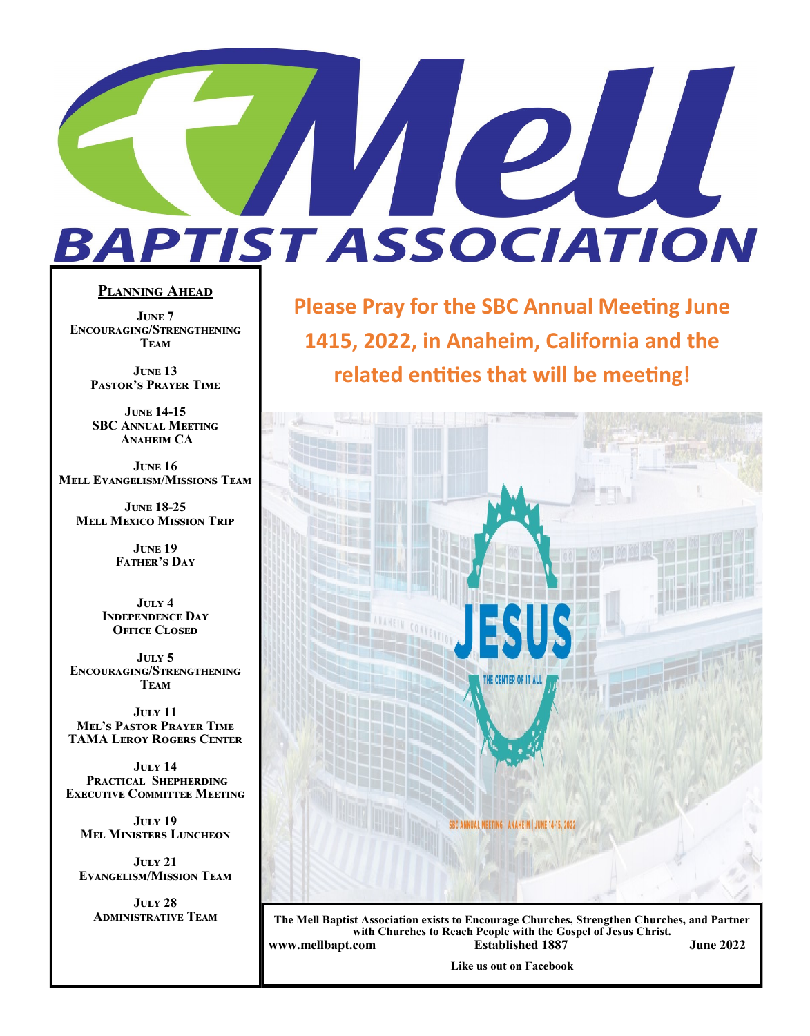# PIU **BAPTIST ASSOCIATION**

#### **Planning Ahead**

**June 7 Encouraging/Strengthening Team**

> **June 13 Pastor's Prayer Time**

**June 14-15 SBC Annual Meeting Anaheim CA**

**June 16 Mell Evangelism/Missions Team**

**June 18-25 Mell Mexico Mission Trip**

> **June 19 Father's Day**

**July 4 Independence Day OFFICE CLOSED** 

**July 5 Encouraging/Strengthening Team**

**July 11 Mel's Pastor Prayer Time TAMA Leroy Rogers Center**

**July 14 Practical Shepherding Executive Committee Meeting**

**July 19 Mel Ministers Luncheon**

**July 21 Evangelism/Mission Team**

**July 28**

**Please Pray for the SBC Annual Meeting June 1415, 2022, in Anaheim, California and the related entities that will be meeting!**



**Administrative Team The Mell Baptist Association exists to Encourage Churches, Strengthen Churches, and Partner with Churches to Reach People with the Gospel of Jesus Christ. www.mellbapt.com Established 1887 June 2022**

**Like us out on Facebook**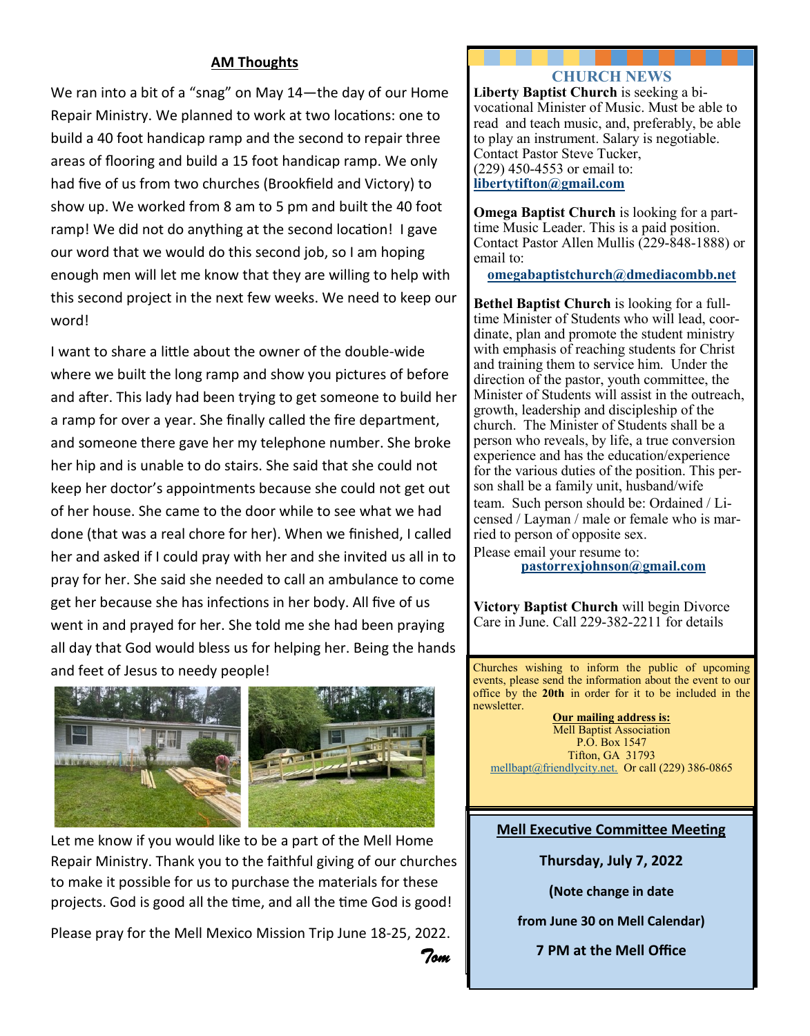#### **AM Thoughts**

We ran into a bit of a "snag" on May 14—the day of our Home Repair Ministry. We planned to work at two locations: one to build a 40 foot handicap ramp and the second to repair three areas of flooring and build a 15 foot handicap ramp. We only had five of us from two churches (Brookfield and Victory) to show up. We worked from 8 am to 5 pm and built the 40 foot ramp! We did not do anything at the second location! I gave our word that we would do this second job, so I am hoping enough men will let me know that they are willing to help with this second project in the next few weeks. We need to keep our word!

I want to share a little about the owner of the double-wide where we built the long ramp and show you pictures of before and after. This lady had been trying to get someone to build her a ramp for over a year. She finally called the fire department, and someone there gave her my telephone number. She broke her hip and is unable to do stairs. She said that she could not keep her doctor's appointments because she could not get out of her house. She came to the door while to see what we had done (that was a real chore for her). When we finished, I called her and asked if I could pray with her and she invited us all in to pray for her. She said she needed to call an ambulance to come get her because she has infections in her body. All five of us went in and prayed for her. She told me she had been praying all day that God would bless us for helping her. Being the hands and feet of Jesus to needy people!



Let me know if you would like to be a part of the Mell Home Repair Ministry. Thank you to the faithful giving of our churches to make it possible for us to purchase the materials for these projects. God is good all the time, and all the time God is good!

Please pray for the Mell Mexico Mission Trip June 18-25, 2022. *Tom*

#### **CHURCH NEWS**

**Liberty Baptist Church** is seeking a bivocational Minister of Music. Must be able to read and teach music, and, preferably, be able to play an instrument. Salary is negotiable. Contact Pastor Steve Tucker, (229) 450-4553 or email to: **libertytifton@gmail.com**

**Omega Baptist Church** is looking for a parttime Music Leader. This is a paid position. Contact Pastor Allen Mullis (229-848-1888) or email to:

**omegabaptistchurch@dmediacombb.net** 

**Bethel Baptist Church** is looking for a fulltime Minister of Students who will lead, coordinate, plan and promote the student ministry with emphasis of reaching students for Christ and training them to service him. Under the direction of the pastor, youth committee, the Minister of Students will assist in the outreach, growth, leadership and discipleship of the church. The Minister of Students shall be a person who reveals, by life, a true conversion experience and has the education/experience for the various duties of the position. This person shall be a family unit, husband/wife team. Such person should be: Ordained / Licensed / Layman / male or female who is married to person of opposite sex.

Please email your resume to: **[pastorrexjohnson@gmail.com](mailto:pastorrexjohnson@gmail.com)**

**Victory Baptist Church** will begin Divorce Care in June. Call 229-382-2211 for details

Churches wishing to inform the public of upcoming events, please send the information about the event to our office by the **20th** in order for it to be included in the newsletter.

**Our mailing address is:** Mell Baptist Association P.O. Box 1547 Tifton, GA 31793 [mellbapt@friendlycity.net.](mailto:mellbapt@friendlycity.net) Or call (229) 386-0865

#### **Mell Executive Committee Meeting**

**Thursday, July 7, 2022**

**(Note change in date** 

**from June 30 on Mell Calendar)**

**7 PM at the Mell Office**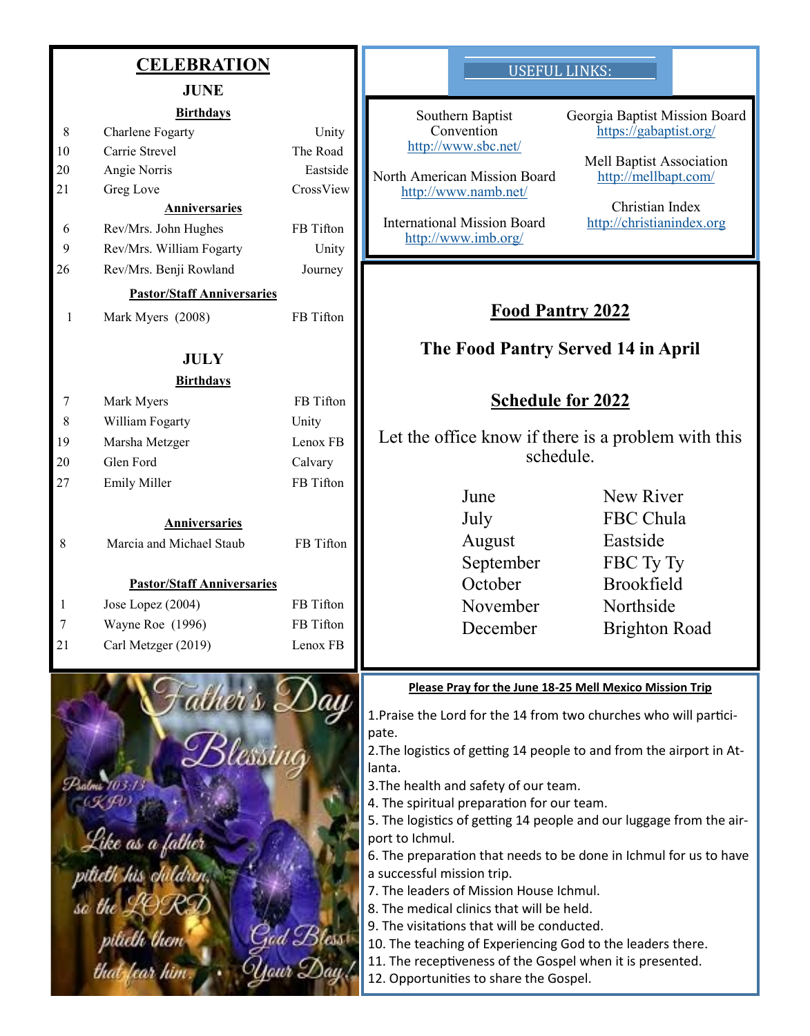|    | <b>CELEBRATION</b><br><b>JUNE</b>    |           | <b>USEFUL LINKS:</b>                                                                                                    |                                                         |
|----|--------------------------------------|-----------|-------------------------------------------------------------------------------------------------------------------------|---------------------------------------------------------|
|    |                                      |           |                                                                                                                         |                                                         |
| 8  | <b>Birthdays</b><br>Charlene Fogarty | Unity     | Southern Baptist<br>Convention                                                                                          | Georgia Baptist Mission Board<br>https://gabaptist.org/ |
| 10 | Carrie Strevel                       | The Road  | http://www.sbc.net/                                                                                                     |                                                         |
| 20 | Angie Norris                         | Eastside  | North American Mission Board                                                                                            | Mell Baptist Association                                |
| 21 | Greg Love                            | CrossView | http://www.namb.net/                                                                                                    | http://mellbapt.com/                                    |
|    | Anniversaries                        |           |                                                                                                                         | Christian Index                                         |
| 6  | Rev/Mrs. John Hughes                 | FB Tifton | <b>International Mission Board</b><br>http://www.imb.org/                                                               | http://christianindex.org                               |
| 9  | Rev/Mrs. William Fogarty             | Unity     |                                                                                                                         |                                                         |
| 26 | Rev/Mrs. Benji Rowland               | Journey   |                                                                                                                         |                                                         |
|    | <b>Pastor/Staff Anniversaries</b>    |           |                                                                                                                         |                                                         |
| 1  | Mark Myers (2008)                    | FB Tifton | <b>Food Pantry 2022</b>                                                                                                 |                                                         |
|    | <b>JULY</b>                          |           | The Food Pantry Served 14 in April                                                                                      |                                                         |
|    | <b>Birthdays</b>                     |           |                                                                                                                         |                                                         |
| 7  | Mark Myers                           | FB Tifton | <b>Schedule for 2022</b>                                                                                                |                                                         |
| 8  | William Fogarty                      | Unity     |                                                                                                                         |                                                         |
| 19 | Marsha Metzger                       | Lenox FB  | Let the office know if there is a problem with this                                                                     |                                                         |
| 20 | Glen Ford                            | Calvary   | schedule.                                                                                                               |                                                         |
| 27 | <b>Emily Miller</b>                  | FB Tifton |                                                                                                                         |                                                         |
|    |                                      |           | June                                                                                                                    | New River                                               |
|    | <b>Anniversaries</b>                 |           | July                                                                                                                    | FBC Chula                                               |
| 8  | Marcia and Michael Staub             | FB Tifton | August                                                                                                                  | Eastside                                                |
|    |                                      |           | September                                                                                                               | FBC Ty Ty                                               |
|    | <b>Pastor/Staff Anniversaries</b>    |           | October                                                                                                                 | Brookfield                                              |
|    | Jose Lopez (2004)                    | FB Tifton | November                                                                                                                | Northside                                               |
|    | Wayne Roe (1996)                     | FB Tifton | December                                                                                                                | <b>Brighton Road</b>                                    |
| 21 | Carl Metzger (2019)                  | Lenox FB  |                                                                                                                         |                                                         |
|    |                                      |           | Please Pray for the June 18-25 Mell Mexico Mission Trip                                                                 |                                                         |
|    |                                      |           | 1. Praise the Lord for the 14 from two churches who will partici-                                                       |                                                         |
|    |                                      |           | pate.                                                                                                                   |                                                         |
|    |                                      |           | 2. The logistics of getting 14 people to and from the airport in At-<br>lanta.                                          |                                                         |
|    |                                      |           | 3. The health and safety of our team.                                                                                   |                                                         |
|    |                                      |           | 4. The spiritual preparation for our team.                                                                              |                                                         |
|    |                                      |           | 5. The logistics of getting 14 people and our luggage from the air-                                                     |                                                         |
|    | Like as a father                     |           | port to Ichmul.                                                                                                         |                                                         |
|    | pitieth his daldren                  |           | 6. The preparation that needs to be done in Ichmul for us to have<br>a successful mission trip.                         |                                                         |
|    |                                      |           | 7. The leaders of Mission House Ichmul.                                                                                 |                                                         |
|    | sa the LOS                           |           | 8. The medical clinics that will be held.                                                                               |                                                         |
|    |                                      | $5$ less  | 9. The visitations that will be conducted.                                                                              |                                                         |
|    | pilielh them<br>that fear him        |           | 10. The teaching of Experiencing God to the leaders there.<br>11. The receptiveness of the Gospel when it is presented. |                                                         |
|    |                                      | Jaur S    | 12. Opportunities to share the Gospel.                                                                                  |                                                         |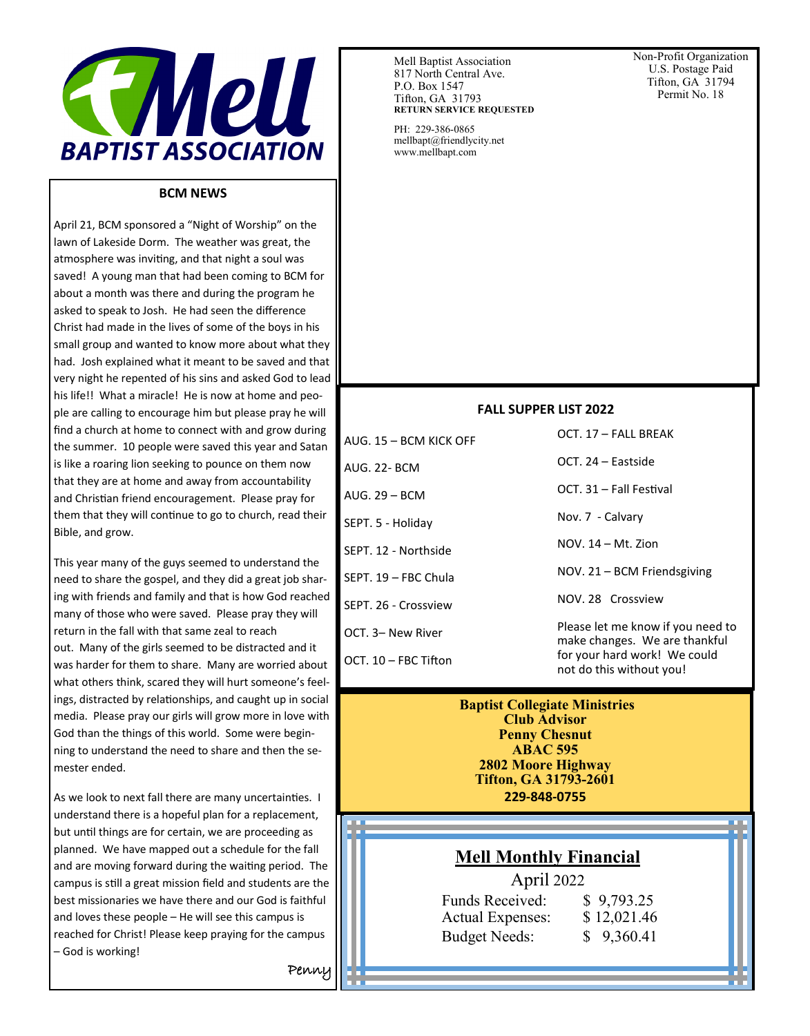

#### **BCM NEWS**

April 21, BCM sponsored a "Night of Worship" on the lawn of Lakeside Dorm. The weather was great, the atmosphere was inviting, and that night a soul was saved! A young man that had been coming to BCM for about a month was there and during the program he asked to speak to Josh. He had seen the difference Christ had made in the lives of some of the boys in his small group and wanted to know more about what they had. Josh explained what it meant to be saved and that very night he repented of his sins and asked God to lead his life!! What a miracle! He is now at home and people are calling to encourage him but please pray he will find a church at home to connect with and grow during the summer. 10 people were saved this year and Satan is like a roaring lion seeking to pounce on them now that they are at home and away from accountability and Christian friend encouragement. Please pray for them that they will continue to go to church, read their Bible, and grow.

This year many of the guys seemed to understand the need to share the gospel, and they did a great job sharing with friends and family and that is how God reached many of those who were saved. Please pray they will return in the fall with that same zeal to reach out. Many of the girls seemed to be distracted and it was harder for them to share. Many are worried about what others think, scared they will hurt someone's feelings, distracted by relationships, and caught up in social media. Please pray our girls will grow more in love with God than the things of this world. Some were beginning to understand the need to share and then the semester ended.

As we look to next fall there are many uncertainties. I understand there is a hopeful plan for a replacement, but until things are for certain, we are proceeding as planned. We have mapped out a schedule for the fall and are moving forward during the waiting period. The campus is still a great mission field and students are the best missionaries we have there and our God is faithful and loves these people – He will see this campus is reached for Christ! Please keep praying for the campus – God is working!

Mell Baptist Association 817 North Central Ave. P.O. Box 1547 Tifton, GA 31793 **RETURN SERVICE REQUESTED**

PH: 229-386-0865 mellbapt@friendlycity.net www.mellbapt.com

Non-Profit Organization U.S. Postage Paid Tifton, GA 31794 Permit No. 18

#### **FALL SUPPER LIST 2022**

AUG. 15 – BCM KICK OFF AUG. 22- BCM AUG. 29 – BCM SEPT. 5 - Holiday SEPT. 12 - Northside SEPT. 19 – FBC Chula SEPT. 26 - Crossview OCT. 3– New River

OCT. 10 – FBC Tifton

OCT. 24 – Eastside

Nov. 7 - Calvary

NOV. 14 – Mt. Zion

OCT. 17 – FALL BREAK

OCT. 31 – Fall Festival

NOV. 21 – BCM Friendsgiving

NOV. 28 Crossview

Please let me know if you need to make changes. We are thankful for your hard work! We could not do this without you!

#### **Baptist Collegiate Ministries Club Advisor Penny Chesnut ABAC 595 2802 Moore Highway Tifton, GA 31793-2601 229-848-0755**

# **Mell Monthly Financial**

April 2022

| <b>Funds Received:</b>  | \$9,793.25  |
|-------------------------|-------------|
| <b>Actual Expenses:</b> | \$12,021.46 |
| <b>Budget Needs:</b>    | \$9,360.41  |

 $\overline{a}$ 

Penny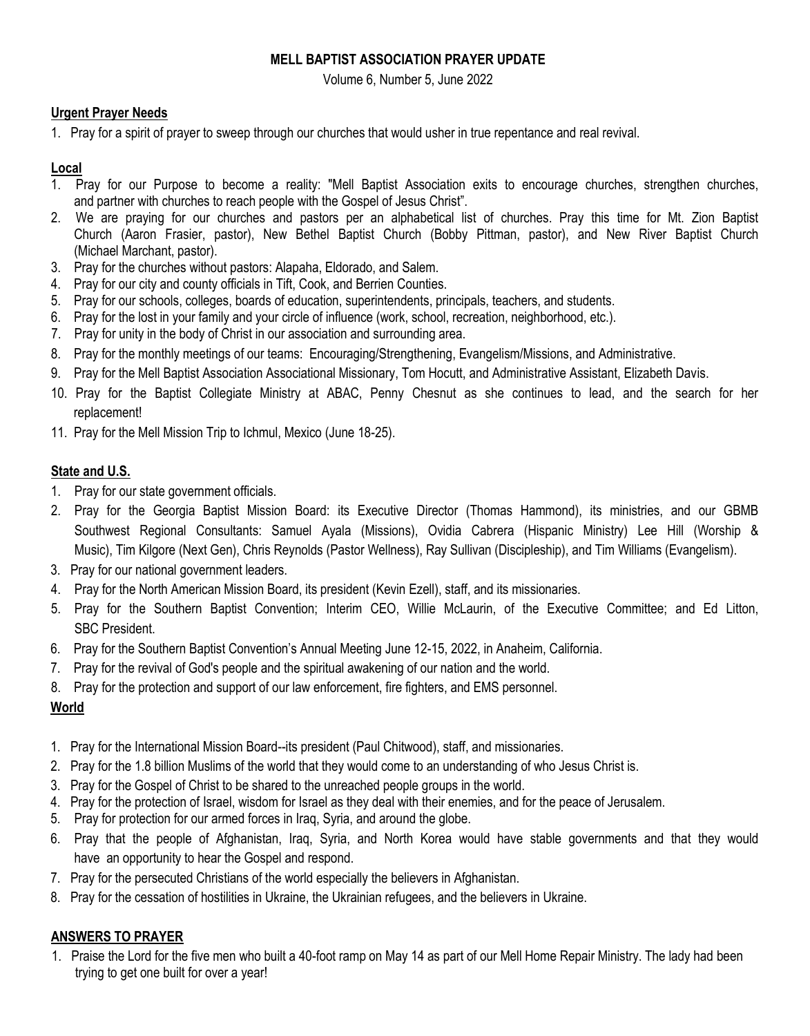## **MELL BAPTIST ASSOCIATION PRAYER UPDATE**

Volume 6, Number 5, June 2022

#### **Urgent Prayer Needs**

1. Pray for a spirit of prayer to sweep through our churches that would usher in true repentance and real revival.

#### **Local**

- 1. Pray for our Purpose to become a reality: "Mell Baptist Association exits to encourage churches, strengthen churches, and partner with churches to reach people with the Gospel of Jesus Christ".
- 2. We are praying for our churches and pastors per an alphabetical list of churches. Pray this time for Mt. Zion Baptist Church (Aaron Frasier, pastor), New Bethel Baptist Church (Bobby Pittman, pastor), and New River Baptist Church (Michael Marchant, pastor).
- 3. Pray for the churches without pastors: Alapaha, Eldorado, and Salem.
- 4. Pray for our city and county officials in Tift, Cook, and Berrien Counties.
- 5. Pray for our schools, colleges, boards of education, superintendents, principals, teachers, and students.
- 6. Pray for the lost in your family and your circle of influence (work, school, recreation, neighborhood, etc.).
- 7. Pray for unity in the body of Christ in our association and surrounding area.
- 8. Pray for the monthly meetings of our teams: Encouraging/Strengthening, Evangelism/Missions, and Administrative.
- 9. Pray for the Mell Baptist Association Associational Missionary, Tom Hocutt, and Administrative Assistant, Elizabeth Davis.
- 10. Pray for the Baptist Collegiate Ministry at ABAC, Penny Chesnut as she continues to lead, and the search for her replacement!
- 11. Pray for the Mell Mission Trip to Ichmul, Mexico (June 18-25).

## **State and U.S.**

- 1. Pray for our state government officials.
- 2. Pray for the Georgia Baptist Mission Board: its Executive Director (Thomas Hammond), its ministries, and our GBMB Southwest Regional Consultants: Samuel Ayala (Missions), Ovidia Cabrera (Hispanic Ministry) Lee Hill (Worship & Music), Tim Kilgore (Next Gen), Chris Reynolds (Pastor Wellness), Ray Sullivan (Discipleship), and Tim Williams (Evangelism).
- 3. Pray for our national government leaders.
- 4. Pray for the North American Mission Board, its president (Kevin Ezell), staff, and its missionaries.
- 5. Pray for the Southern Baptist Convention; Interim CEO, Willie McLaurin, of the Executive Committee; and Ed Litton, SBC President.
- 6. Pray for the Southern Baptist Convention's Annual Meeting June 12-15, 2022, in Anaheim, California.
- 7. Pray for the revival of God's people and the spiritual awakening of our nation and the world.
- 8. Pray for the protection and support of our law enforcement, fire fighters, and EMS personnel.

# **World**

- 1. Pray for the International Mission Board--its president (Paul Chitwood), staff, and missionaries.
- 2. Pray for the 1.8 billion Muslims of the world that they would come to an understanding of who Jesus Christ is.
- 3. Pray for the Gospel of Christ to be shared to the unreached people groups in the world.
- 4. Pray for the protection of Israel, wisdom for Israel as they deal with their enemies, and for the peace of Jerusalem.
- 5. Pray for protection for our armed forces in Iraq, Syria, and around the globe.
- 6. Pray that the people of Afghanistan, Iraq, Syria, and North Korea would have stable governments and that they would have an opportunity to hear the Gospel and respond.
- 7. Pray for the persecuted Christians of the world especially the believers in Afghanistan.
- 8. Pray for the cessation of hostilities in Ukraine, the Ukrainian refugees, and the believers in Ukraine.

## **ANSWERS TO PRAYER**

1. Praise the Lord for the five men who built a 40-foot ramp on May 14 as part of our Mell Home Repair Ministry. The lady had been trying to get one built for over a year!